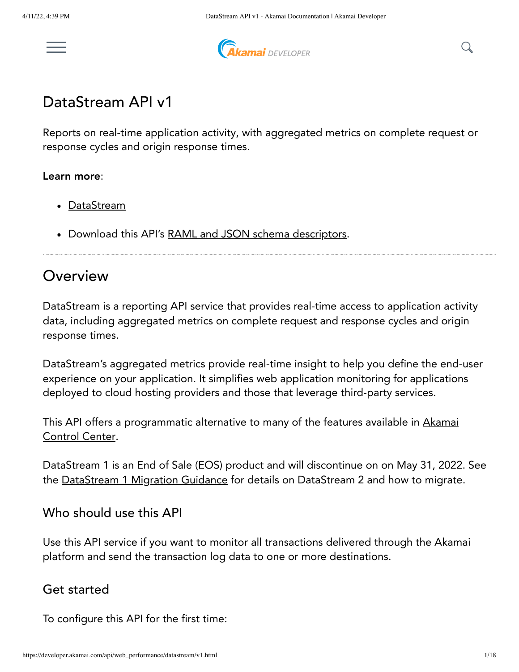



# DataStream API v1

Reports on real-time application activity, with aggregated metrics on complete request or response cycles and origin response times.

#### Learn more:

- <u>[DataStream](https://learn.akamai.com/products/web_performance/datastream.html)</u>
- Download this API's RAML and JSON schema [descriptors](https://developer.akamai.com/api/web_performance/datastream/v1-api.zip).

# Overview

DataStream is a reporting API service that provides real-time access to application activity data, including aggregated metrics on complete request and response cycles and origin response times.

DataStream's aggregated metrics provide real-time insight to help you define the end-user experience on your application. It simplifies web application monitoring for applications deployed to cloud hosting providers and those that leverage third-party services.

This API offers a [programmatic](https://control.akamai.com/) alternative to many of the features available in Akamai Control Center.

DataStream 1 is an End of Sale (EOS) product and will discontinue on on May 31, 2022. See the [DataStream](https://learn.akamai.com/en-us/webhelp/datastream/datastream-user-guide/GUID-54E4A615-3D78-4A85-8A8E-A08E8997D173.html) 1 Migration Guidance for details on DataStream 2 and how to migrate.

#### Who should use this API

Use this API service if you want to monitor all transactions delivered through the Akamai platform and send the transaction log data to one or more destinations.

### Get started

To configure this API for the first time: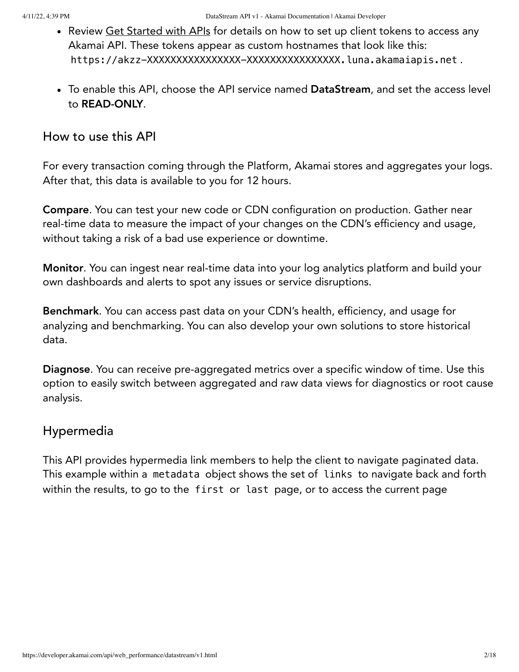- Review Get [Started](https://learn.akamai.com/en-us/learn_akamai/getting_started_with_akamai_developers/developer_tools/getstartedapis.html) with APIs for details on how to set up client tokens to access any Akamai API. These tokens appear as custom hostnames that look like this: https://akzz-XXXXXXXXXXXXXXX-XXXXXXXXXXXXXXXXX.luna.akamaiapis.net.
- To enable this API, choose the API service named DataStream, and set the access level to READ-ONLY.

### How to use this API

For every transaction coming through the Platform, Akamai stores and aggregates your logs. After that, this data is available to you for 12 hours.

Compare. You can test your new code or CDN configuration on production. Gather near real-time data to measure the impact of your changes on the CDN's efficiency and usage, without taking a risk of a bad use experience or downtime.

Monitor. You can ingest near real-time data into your log analytics platform and build your own dashboards and alerts to spot any issues or service disruptions.

Benchmark. You can access past data on your CDN's health, efficiency, and usage for analyzing and benchmarking. You can also develop your own solutions to store historical data.

Diagnose. You can receive pre-aggregated metrics over a specific window of time. Use this option to easily switch between aggregated and raw data views for diagnostics or root cause analysis.

## Hypermedia

This API provides hypermedia link members to help the client to navigate paginated data. This example within a metadata object shows the set of links to navigate back and forth within the results, to go to the first or last page, or to access the current page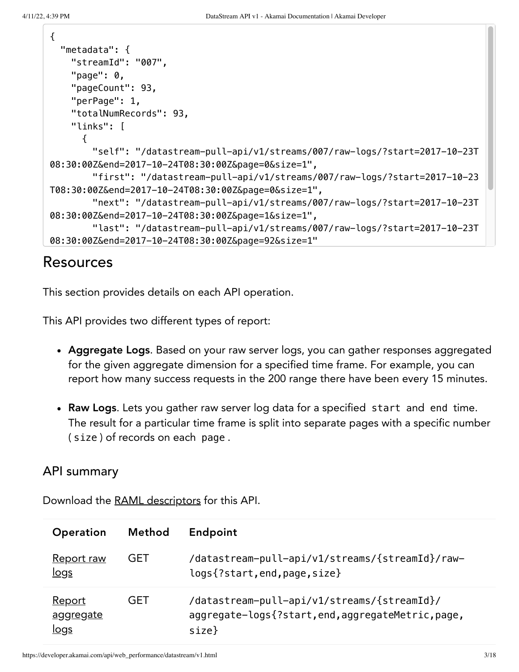```
{
   "metadata": {
     "streamId": "007",
     "page": 0,
     "pageCount": 93,
     "perPage": 1,
     "totalNumRecords": 93,
     "links": [
      \mathcal{L} "self": "/datastream-pull-api/v1/streams/007/raw-logs/?start=2017-10-23T
08:30:00Z&end=2017-10-24T08:30:00Z&page=0&size=1",
         "first": "/datastream-pull-api/v1/streams/007/raw-logs/?start=2017-10-23
T08:30:00Z&end=2017-10-24T08:30:00Z&page=0&size=1",
         "next": "/datastream-pull-api/v1/streams/007/raw-logs/?start=2017-10-23T
08:30:00Z&end=2017-10-24T08:30:00Z&page=1&size=1",
         "last": "/datastream-pull-api/v1/streams/007/raw-logs/?start=2017-10-23T
08:30:00Z&end=2017-10-24T08:30:00Z&page=92&size=1"
```
# Resources

This section provides details on each API operation.

This API provides two different types of report:

- Aggregate Logs. Based on your raw server logs, you can gather responses aggregated for the given aggregate dimension for a specified time frame. For example, you can report how many success requests in the 200 range there have been every 15 minutes.
- Raw Logs. Lets you gather raw server log data for a specified start and end time. The result for a particular time frame is split into separate pages with a specific number ( size ) of records on each page .

## API summary

Download the [RAML descriptors](https://developer.akamai.com/api/web_performance/datastream/v1-api.zip) for this API.

| <b>Operation</b>                          | <b>Method</b> | Endpoint                                                                                                   |
|-------------------------------------------|---------------|------------------------------------------------------------------------------------------------------------|
| Report raw<br><u>logs</u>                 | <b>GET</b>    | /datastream-pull-api/v1/streams/{streamId}/raw-<br>logs{?start, end, page, size}                           |
| <u>Report</u><br>aggregate<br><u>logs</u> | <b>GET</b>    | /datastream-pull-api/v1/streams/{streamId}/<br>aggregate-logs{?start,end,aggregateMetric,page,<br>$size$ } |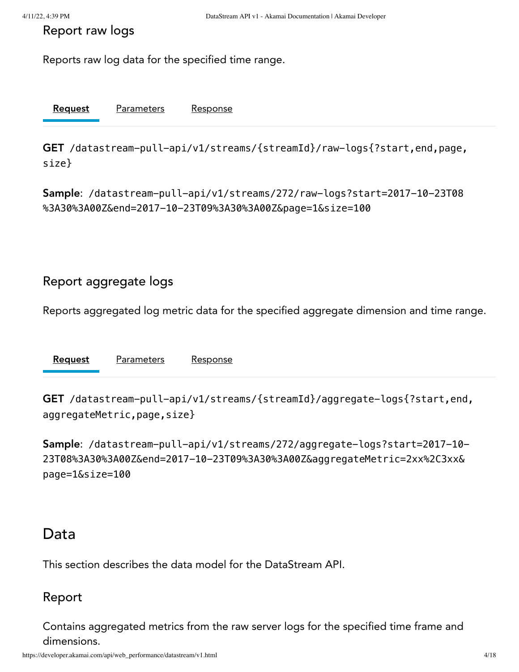<span id="page-3-0"></span>Report raw logs

Reports raw log data for the specified time range.

[Request](#page-3-2) Parameters Response

<span id="page-3-2"></span>GET /datastream-pull-api/v1/streams/{streamId}/raw-logs{?start,end,page, size}

Sample: /datastream-pull-api/v1/streams/272/raw-logs?start=2017-10-23T08 %3A30%3A00Z&end=2017-10-23T09%3A30%3A00Z&page=1&size=100

### <span id="page-3-1"></span>Report aggregate logs

Reports aggregated log metric data for the specified aggregate dimension and time range.

[Request](#page-3-3) Parameters Response

<span id="page-3-3"></span>GET /datastream-pull-api/v1/streams/{streamId}/aggregate-logs{?start,end, aggregateMetric, page, size}

Sample: /datastream-pull-api/v1/streams/272/aggregate-logs?start=2017-10- 23T08%3A30%3A00Z&end=2017-10-23T09%3A30%3A00Z&aggregateMetric=2xx%2C3xx& page=1&size=100

## Data

This section describes the data model for the DataStream API.

#### Report

Contains aggregated metrics from the raw server logs for the specified time frame and dimensions.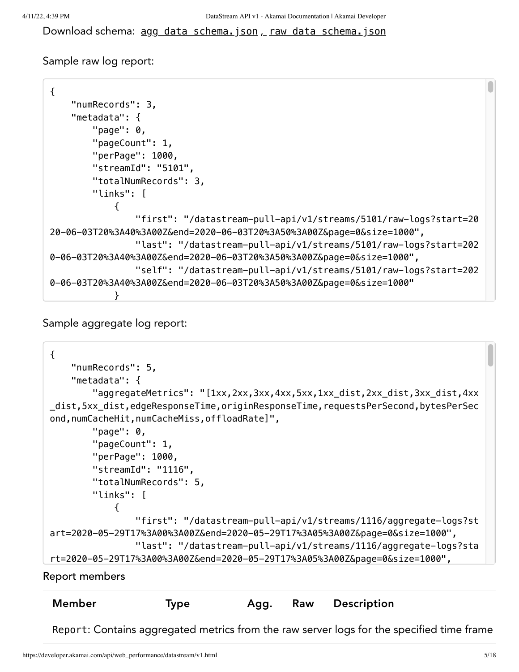Download schema: agg\_data\_schema.json , [raw\\_data\\_schema.json](https://developer.akamai.com/api/web_performance/datastream/v1-api.zip)

Sample raw log report:

```
{
    "numRecords": 3,
    "metadata": {
        "page": 0,
        "pageCount": 1,
        "perPage": 1000,
        "streamId": "5101",
        "totalNumRecords": 3,
        "links": [
\{ "first": "/datastream-pull-api/v1/streams/5101/raw-logs?start=20
20-06-03T20%3A40%3A00Z&end=2020-06-03T20%3A50%3A00Z&page=0&size=1000",
                "last": "/datastream-pull-api/v1/streams/5101/raw-logs?start=202
0-06-03T20%3A40%3A00Z&end=2020-06-03T20%3A50%3A00Z&page=0&size=1000",
                "self": "/datastream-pull-api/v1/streams/5101/raw-logs?start=202
0-06-03T20%3A40%3A00Z&end=2020-06-03T20%3A50%3A00Z&page=0&size=1000"
 }
```
Sample aggregate log report:

```
{
      "numRecords": 5,
      "metadata": {
          "aggregateMetrics": "[1xx,2xx,3xx,4xx,5xx,1xx_dist,2xx_dist,3xx_dist,4xx
 _dist,5xx_dist,edgeResponseTime,originResponseTime,requestsPerSecond,bytesPerSec
 ond,numCacheHit,numCacheMiss,offloadRate]",
         "page": 0,
          "pageCount": 1,
          "perPage": 1000,
          "streamId": "1116",
          "totalNumRecords": 5,
          "links": [
 \{ "first": "/datastream-pull-api/v1/streams/1116/aggregate-logs?st
 art=2020-05-29T17%3A00%3A00Z&end=2020-05-29T17%3A05%3A00Z&page=0&size=1000",
                  "last": "/datastream-pull-api/v1/streams/1116/aggregate-logs?sta
 rt=2020-05-29T17%3A00%3A00Z&end=2020-05-29T17%3A05%3A00Z&page=0&size=1000",
Report members
```
Report: Contains aggregated metrics from the raw server logs for the specified time frame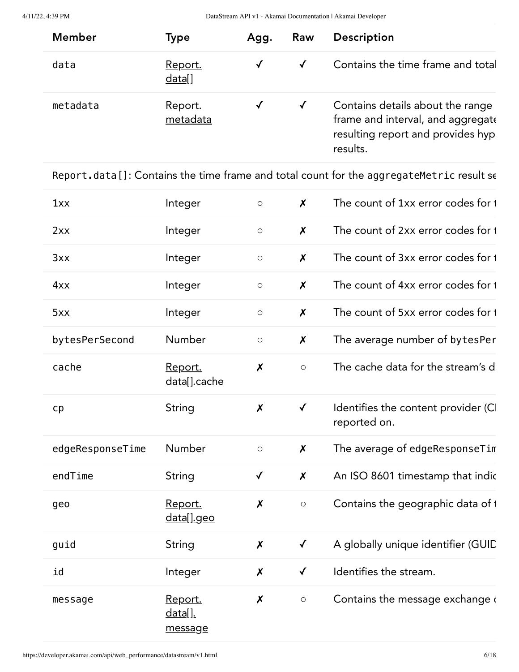| <b>Member</b> | Type                       | Agg.       | Raw          | <b>Description</b>                                                                                                     |
|---------------|----------------------------|------------|--------------|------------------------------------------------------------------------------------------------------------------------|
| data          | <u>Report.</u><br>datal]   | $\sqrt{ }$ |              | Contains the time frame and total                                                                                      |
| metadata      | <u>Report.</u><br>metadata |            | $\checkmark$ | Contains details about the range<br>frame and interval, and aggregate<br>resulting report and provides hyp<br>results. |

<span id="page-5-0"></span>Report.data[]: Contains the time frame and total count for the aggregateMetric result se

| 1xx              | Integer                              | $\circ$                   | $\boldsymbol{\mathsf{X}}$ | The count of 1xx error codes for 1                  |
|------------------|--------------------------------------|---------------------------|---------------------------|-----------------------------------------------------|
| 2xx              | Integer                              | $\bigcirc$                | $\boldsymbol{x}$          | The count of 2xx error codes for 1                  |
| 3xx              | Integer                              | $\bigcirc$                | $\boldsymbol{\mathsf{X}}$ | The count of 3xx error codes for 1                  |
| 4xx              | Integer                              | $\circ$                   | $\boldsymbol{\mathsf{x}}$ | The count of 4xx error codes for 1                  |
| 5xx              | Integer                              | $\bigcirc$                | $\boldsymbol{X}$          | The count of 5xx error codes for 1                  |
| bytesPerSecond   | Number                               | $\bigcirc$                | $\boldsymbol{x}$          | The average number of bytesPer                      |
| cache            | Report.<br>data[].cache              | $\boldsymbol{\mathsf{X}}$ | $\circ$                   | The cache data for the stream's d                   |
| cp               | String                               | $\pmb{\mathsf{X}}$        | $\checkmark$              | Identifies the content provider (CI<br>reported on. |
| edgeResponseTime | Number                               | $\bigcirc$                | $\boldsymbol{\mathsf{x}}$ | The average of edgeResponseTim                      |
| endTime          | String                               | $\checkmark$              | $\boldsymbol{\mathsf{x}}$ | An ISO 8601 timestamp that indic                    |
| geo              | Report.<br><u>data[].geo</u>         | $\boldsymbol{X}$          | $\bigcirc$                | Contains the geographic data of 1                   |
| guid             | String                               | $\boldsymbol{X}$          | $\checkmark$              | A globally unique identifier (GUIC                  |
| id               | Integer                              | $\boldsymbol{X}$          | $\checkmark$              | Identifies the stream.                              |
| message          | Report.<br><u>data[].</u><br>message | $\boldsymbol{X}$          | $\bigcirc$                | Contains the message exchange of                    |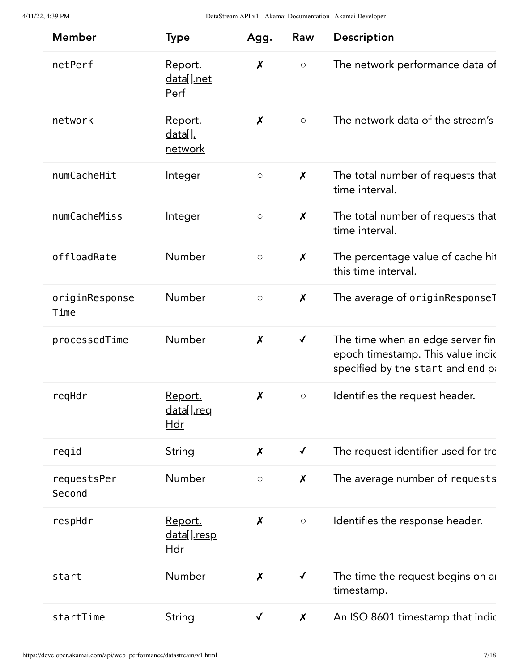| <b>Member</b>          | <b>Type</b>                                        | Agg.                      | Raw                       | Description                                                                                                |
|------------------------|----------------------------------------------------|---------------------------|---------------------------|------------------------------------------------------------------------------------------------------------|
| netPerf                | Report.<br><u>data[].net</u><br><u>Perf</u>        | $\boldsymbol{\mathsf{x}}$ | $\bigcirc$                | The network performance data of                                                                            |
| network                | <u>Report.</u><br><u>data[].</u><br><u>network</u> | $\boldsymbol{x}$          | $\bigcirc$                | The network data of the stream's                                                                           |
| numCacheHit            | Integer                                            | $\circ$                   | $\boldsymbol{X}$          | The total number of requests that<br>time interval.                                                        |
| numCacheMiss           | Integer                                            | $\circlearrowright$       | $\boldsymbol{\mathsf{x}}$ | The total number of requests that<br>time interval.                                                        |
| offloadRate            | Number                                             | $\bigcirc$                | $\boldsymbol{\mathsf{x}}$ | The percentage value of cache hit<br>this time interval.                                                   |
| originResponse<br>Time | Number                                             | $\circlearrowright$       | $\boldsymbol{\mathsf{x}}$ | The average of originResponseT                                                                             |
| processedTime          | Number                                             | $\pmb{\mathsf{X}}$        | $\checkmark$              | The time when an edge server fin<br>epoch timestamp. This value indic<br>specified by the start and end pa |
| regHdr                 | <u>Report.</u><br><u>data[].req</u><br><u>Hdr</u>  | $\boldsymbol{\mathsf{x}}$ | $\bigcirc$                | Identifies the request header.                                                                             |
| reqid                  | <b>String</b>                                      | X                         | $\checkmark$              | The request identifier used for trc                                                                        |
| requestsPer<br>Second  | Number                                             | $\bigcirc$                | $\boldsymbol{\mathsf{x}}$ | The average number of requests                                                                             |
| respHdr                | Report.<br><u>data[].resp</u><br>$\underline{H}$   | $\boldsymbol{\mathsf{x}}$ | $\circlearrowright$       | Identifies the response header.                                                                            |
| start                  | Number                                             | $\boldsymbol{\mathsf{x}}$ | $\checkmark$              | The time the request begins on a<br>timestamp.                                                             |
| startTime              | <b>String</b>                                      | $\checkmark$              | $\boldsymbol{\mathsf{x}}$ | An ISO 8601 timestamp that indic                                                                           |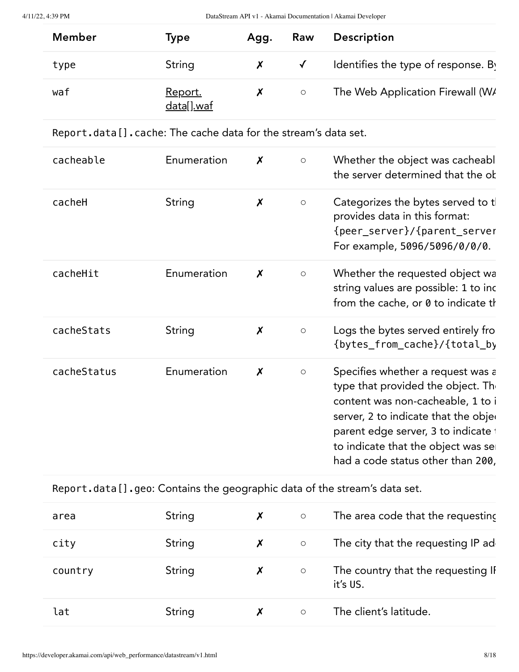| <b>Member</b> | Type                         | Agg. | Raw          | <b>Description</b>                  |
|---------------|------------------------------|------|--------------|-------------------------------------|
| type          | String                       |      | $\checkmark$ | Identifies the type of response. By |
| waf           | <u>Report.</u><br>data[].waf |      | $\circ$      | The Web Application Firewall (W/    |

<span id="page-7-0"></span>

|  | Report.data [].cache: The cache data for the stream's data set. |  |  |  |
|--|-----------------------------------------------------------------|--|--|--|
|--|-----------------------------------------------------------------|--|--|--|

| cacheable   | Enumeration | $\boldsymbol{X}$          | $\circlearrowright$ | Whether the object was cacheabl<br>the server determined that the ok                                                                                                                                                                                                    |
|-------------|-------------|---------------------------|---------------------|-------------------------------------------------------------------------------------------------------------------------------------------------------------------------------------------------------------------------------------------------------------------------|
| cacheH      | String      | $\boldsymbol{\mathsf{X}}$ | $\circ$             | Categorizes the bytes served to t<br>provides data in this format:<br>{peer_server}/{parent_server<br>For example, 5096/5096/0/0/0.                                                                                                                                     |
| cacheHit    | Enumeration | $\boldsymbol{x}$          | $\circlearrowright$ | Whether the requested object wa<br>string values are possible: 1 to inc<br>from the cache, or 0 to indicate the                                                                                                                                                         |
| cacheStats  | String      | $\boldsymbol{\mathsf{X}}$ | $\circlearrowright$ | Logs the bytes served entirely fro<br>{bytes_from_cache}/{total_by                                                                                                                                                                                                      |
| cacheStatus | Enumeration | $\boldsymbol{\mathsf{X}}$ | $\circlearrowright$ | Specifies whether a request was a<br>type that provided the object. The<br>content was non-cacheable, 1 to i<br>server, 2 to indicate that the objee<br>parent edge server, 3 to indicate i<br>to indicate that the object was set<br>had a code status other than 200, |

<span id="page-7-1"></span>Report.data[].geo: Contains the geographic data of the stream's data set.

| area    | String | X | $\circlearrowright$ | The area code that the requesting              |
|---------|--------|---|---------------------|------------------------------------------------|
| city    | String | X | $\circlearrowright$ | The city that the requesting IP ad             |
| country | String | X | $\circlearrowright$ | The country that the requesting IF<br>it's US. |
| lat     | String | X | $\circ$             | The client's latitude.                         |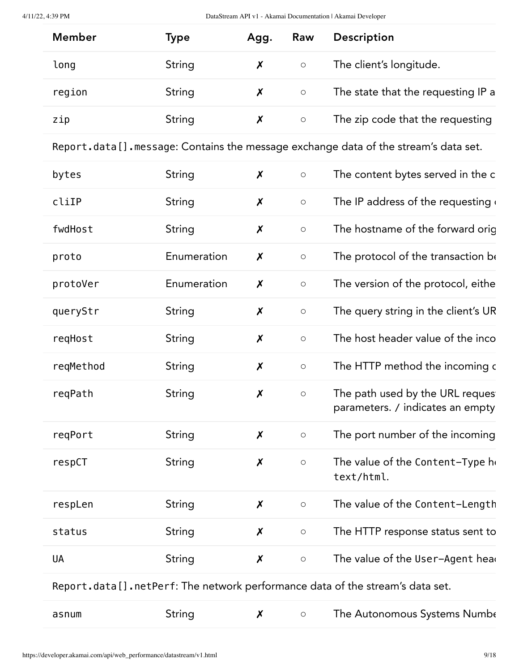| <b>Member</b> | Type   | Agg. | Raw     | <b>Description</b>                 |
|---------------|--------|------|---------|------------------------------------|
| long          | String |      | $\circ$ | The client's longitude.            |
| region        | String |      | $\circ$ | The state that the requesting IP a |
| zip           | String |      | $\circ$ | The zip code that the requesting   |

<span id="page-8-0"></span>Report.data[].message: Contains the message exchange data of the stream's data set.

| bytes     | String      | $\boldsymbol{\mathsf{X}}$ | $\circ$             | The content bytes served in the c                                            |
|-----------|-------------|---------------------------|---------------------|------------------------------------------------------------------------------|
| cliIP     | String      | $\boldsymbol{\mathsf{X}}$ | $\bigcirc$          | The IP address of the requesting of                                          |
| fwdHost   | String      | $\boldsymbol{\mathsf{x}}$ | $\circlearrowright$ | The hostname of the forward orig                                             |
| proto     | Enumeration | $\boldsymbol{\mathsf{X}}$ | $\circ$             | The protocol of the transaction be                                           |
| protoVer  | Enumeration | $\boldsymbol{\mathsf{x}}$ | $\bigcirc$          | The version of the protocol, eithe                                           |
| queryStr  | String      | $\boldsymbol{X}$          | $\bigcirc$          | The query string in the client's UR                                          |
| reqHost   | String      | $\pmb{\mathsf{X}}$        | $\bigcirc$          | The host header value of the inco                                            |
| reqMethod | String      | $\boldsymbol{x}$          | $\circlearrowright$ | The HTTP method the incoming c                                               |
| reqPath   | String      | $\boldsymbol{\mathsf{X}}$ | $\bigcirc$          | The path used by the URL reques<br>parameters. / indicates an empty          |
| regPort   | String      | $\boldsymbol{\mathsf{X}}$ | $\bigcirc$          | The port number of the incoming                                              |
| respCT    | String      | $\boldsymbol{\mathsf{X}}$ | $\bigcirc$          | The value of the Content-Type he<br>text/html.                               |
| respLen   | String      | $\boldsymbol{X}$          | $\bigcirc$          | The value of the Content-Length                                              |
| status    | String      | $\boldsymbol{x}$          | $\bigcirc$          | The HTTP response status sent to                                             |
| <b>UA</b> | String      | $\boldsymbol{\mathsf{x}}$ | $\bigcirc$          | The value of the User-Agent head                                             |
|           |             |                           |                     | Donont dotall notDonf: The natural populations data of the streamle data set |

<span id="page-8-1"></span>Report.data[].netPerf: The network performance data of the stream's data set.

| asnum | String |  |  | The Autonomous Systems Numbe |
|-------|--------|--|--|------------------------------|
|-------|--------|--|--|------------------------------|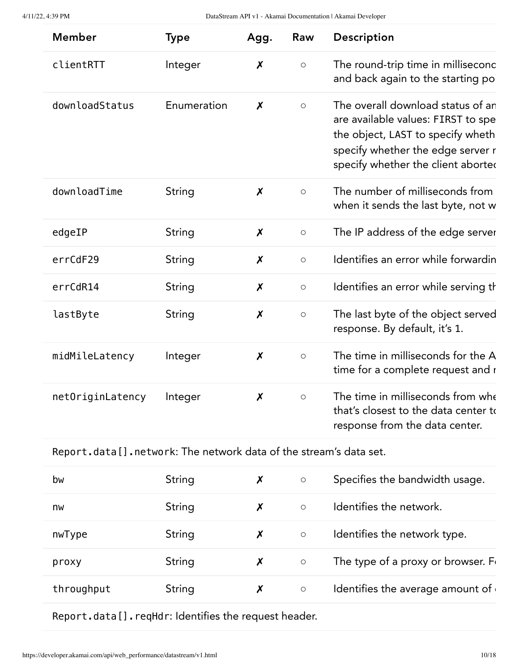| <b>Member</b>       | <b>Type</b> | Agg.                      | Raw                 | Description                                                                                                                                                                             |
|---------------------|-------------|---------------------------|---------------------|-----------------------------------------------------------------------------------------------------------------------------------------------------------------------------------------|
| clientRTT           | Integer     | $\boldsymbol{\mathsf{x}}$ | $\circ$             | The round-trip time in milliseconc<br>and back again to the starting po                                                                                                                 |
| downloadStatus      | Enumeration | $\boldsymbol{x}$          | $\circ$             | The overall download status of an<br>are available values: FIRST to spe<br>the object, LAST to specify wheth<br>specify whether the edge server r<br>specify whether the client aborted |
| downloadTime        | String      | $\boldsymbol{X}$          | $\circ$             | The number of milliseconds from<br>when it sends the last byte, not w                                                                                                                   |
| edgeIP              | String      | $\boldsymbol{\mathsf{x}}$ | $\circ$             | The IP address of the edge server                                                                                                                                                       |
| errCdF29            | String      | $\boldsymbol{X}$          | $\circ$             | Identifies an error while forwardin                                                                                                                                                     |
| erc <sub>dR14</sub> | String      | $\boldsymbol{x}$          | $\circ$             | Identifies an error while serving th                                                                                                                                                    |
| lastByte            | String      | $\boldsymbol{X}$          | $\circlearrowright$ | The last byte of the object served<br>response. By default, it's 1.                                                                                                                     |
| midMileLatency      | Integer     | $\boldsymbol{x}$          | $\circ$             | The time in milliseconds for the A<br>time for a complete request and r                                                                                                                 |
| netOriginLatency    | Integer     | $\boldsymbol{x}$          | $\circ$             | The time in milliseconds from whe<br>that's closest to the data center to<br>response from the data center.                                                                             |

<span id="page-9-0"></span>Report.data[].network: The network data of the stream's data set.

| bw         | String | X | $\circ$ | Specifies the bandwidth usage.      |
|------------|--------|---|---------|-------------------------------------|
| nw         | String | Х | $\circ$ | Identifies the network.             |
| nwType     | String | Х | $\circ$ | Identifies the network type.        |
| proxy      | String | X | $\circ$ | The type of a proxy or browser. For |
| throughput | String | Х | $\circ$ | Identifies the average amount of    |

<span id="page-9-1"></span>Report.data[].reqHdr: Identifies the request header.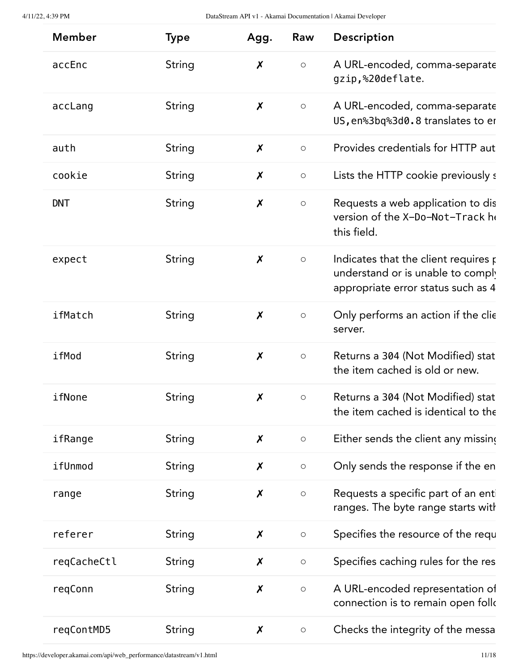| <b>Member</b> | <b>Type</b>   | Agg.                      | Raw                 | Description                                                                                                     |
|---------------|---------------|---------------------------|---------------------|-----------------------------------------------------------------------------------------------------------------|
| accEnc        | String        | $\boldsymbol{\mathsf{x}}$ | $\bigcirc$          | A URL-encoded, comma-separate<br>gzip,%20deflate.                                                               |
| accLang       | <b>String</b> | X                         | $\bigcirc$          | A URL-encoded, comma-separate<br>US, en%3bq%3d0.8 translates to er                                              |
| auth          | String        | $\boldsymbol{\mathsf{X}}$ | $\circlearrowright$ | Provides credentials for HTTP aut                                                                               |
| cookie        | String        | $\boldsymbol{\mathsf{x}}$ | $\bigcirc$          | Lists the HTTP cookie previously s                                                                              |
| <b>DNT</b>    | String        | $\boldsymbol{x}$          | $\bigcirc$          | Requests a web application to dis<br>version of the X-Do-Not-Track he<br>this field.                            |
| expect        | <b>String</b> | $\boldsymbol{\mathsf{X}}$ | $\bigcirc$          | Indicates that the client requires p<br>understand or is unable to comply<br>appropriate error status such as 4 |
| ifMatch       | String        | $\boldsymbol{X}$          | $\bigcirc$          | Only performs an action if the clie<br>server.                                                                  |
| ifMod         | <b>String</b> | $\boldsymbol{\mathsf{X}}$ | $\bigcirc$          | Returns a 304 (Not Modified) stat<br>the item cached is old or new.                                             |
| ifNone        | String        | X                         | $\bigcirc$          | Returns a 304 (Not Modified) stat<br>the item cached is identical to the                                        |
| ifRange       | String        | $\boldsymbol{\mathsf{X}}$ | $\bigcirc$          | Either sends the client any missing                                                                             |
| ifUnmod       | <b>String</b> | X                         | $\bigcirc$          | Only sends the response if the en                                                                               |
| range         | <b>String</b> | $\boldsymbol{X}$          | $\bigcirc$          | Requests a specific part of an enti<br>ranges. The byte range starts with                                       |
| referer       | <b>String</b> | X                         | $\bigcirc$          | Specifies the resource of the requ                                                                              |
| reqCacheCtl   | <b>String</b> | $\pmb{\mathsf{X}}$        | $\bigcirc$          | Specifies caching rules for the res                                                                             |
| regConn       | <b>String</b> | $\boldsymbol{x}$          | $\bigcirc$          | A URL-encoded representation of<br>connection is to remain open follo                                           |
| reqContMD5    | String        | $\boldsymbol{\mathsf{x}}$ | $\bigcirc$          | Checks the integrity of the messa                                                                               |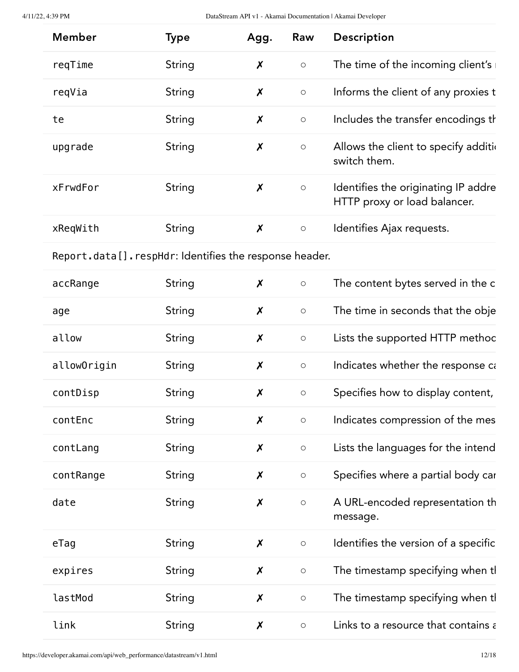<span id="page-11-0"></span>

| <b>Member</b>                                            | <b>Type</b>   | Agg.                      | Raw                 | Description                                                         |
|----------------------------------------------------------|---------------|---------------------------|---------------------|---------------------------------------------------------------------|
| reqTime                                                  | <b>String</b> | $\boldsymbol{x}$          | $\bigcirc$          | The time of the incoming client's                                   |
| reqVia                                                   | String        | $\boldsymbol{\mathsf{x}}$ | $\bigcirc$          | Informs the client of any proxies t                                 |
| te                                                       | String        | $\boldsymbol{\mathsf{x}}$ | $\bigcirc$          | Includes the transfer encodings th                                  |
| upgrade                                                  | String        | $\boldsymbol{\mathsf{x}}$ | $\bigcirc$          | Allows the client to specify additional<br>switch them.             |
| xFrwdFor                                                 | String        | $\boldsymbol{x}$          | $\bigcirc$          | Identifies the originating IP addre<br>HTTP proxy or load balancer. |
| xReqWith                                                 | String        | $\boldsymbol{X}$          | $\bigcirc$          | Identifies Ajax requests.                                           |
| Report.data []. respHdr: Identifies the response header. |               |                           |                     |                                                                     |
| accRange                                                 | String        | $\boldsymbol{X}$          | $\bigcirc$          | The content bytes served in the c                                   |
| age                                                      | String        | $\boldsymbol{\mathsf{x}}$ | $\bigcirc$          | The time in seconds that the obje                                   |
| allow                                                    | String        | $\boldsymbol{\mathsf{x}}$ | $\bigcirc$          | Lists the supported HTTP methoc                                     |
| allowOrigin                                              | String        | $\boldsymbol{\mathsf{X}}$ | $\bigcirc$          | Indicates whether the response ca                                   |
| contDisp                                                 | String        | $\boldsymbol{\mathsf{X}}$ | $\circlearrowright$ | Specifies how to display content,                                   |
| contEnc                                                  | String        | X                         | $\bigcirc$          | Indicates compression of the mes                                    |
| contLang                                                 | <b>String</b> | $\boldsymbol{x}$          | $\bigcirc$          | Lists the languages for the intend                                  |
| contRange                                                | <b>String</b> | $\boldsymbol{x}$          | $\bigcirc$          | Specifies where a partial body car                                  |
| date                                                     | String        | $\boldsymbol{\mathsf{X}}$ | $\bigcirc$          | A URL-encoded representation th<br>message.                         |
| $e$ Tag                                                  | String        | $\boldsymbol{\mathsf{X}}$ | $\bigcirc$          | Identifies the version of a specific                                |
| expires                                                  | String        | $\boldsymbol{\mathsf{x}}$ | $\bigcirc$          | The timestamp specifying when tl                                    |
| lastMod                                                  | String        | $\boldsymbol{x}$          | $\bigcirc$          | The timestamp specifying when tl                                    |
| link                                                     | String        | $\boldsymbol{\mathsf{x}}$ | $\bigcirc$          | Links to a resource that contains a                                 |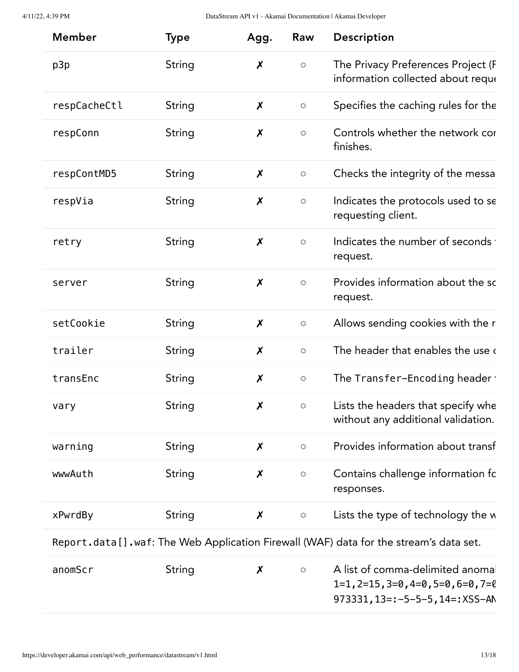| <b>Member</b> | <b>Type</b>   | Agg.                      | Raw        | Description                                                              |
|---------------|---------------|---------------------------|------------|--------------------------------------------------------------------------|
| p3p           | String        | $\boldsymbol{X}$          | $\bigcirc$ | The Privacy Preferences Project (F<br>information collected about reque  |
| respCacheCtl  | String        | $\boldsymbol{\mathsf{x}}$ | $\bigcirc$ | Specifies the caching rules for the                                      |
| respConn      | String        | $\boldsymbol{\mathsf{x}}$ | $\bigcirc$ | Controls whether the network cor<br>finishes.                            |
| respContMD5   | String        | X                         | $\bigcirc$ | Checks the integrity of the messa                                        |
| respVia       | <b>String</b> | $\boldsymbol{\mathsf{X}}$ | $\bigcirc$ | Indicates the protocols used to se<br>requesting client.                 |
| retry         | String        | $\boldsymbol{\mathsf{X}}$ | $\bigcirc$ | Indicates the number of seconds<br>request.                              |
| server        | <b>String</b> | $\boldsymbol{\mathsf{X}}$ | $\bigcirc$ | Provides information about the sc<br>request.                            |
| setCookie     | String        | $\boldsymbol{x}$          | $\bigcirc$ | Allows sending cookies with the r                                        |
| trailer       | <b>String</b> | $\boldsymbol{\mathsf{X}}$ | $\bigcirc$ | The header that enables the use of                                       |
| transEnc      | String        | $\boldsymbol{x}$          | $\bigcirc$ | The Transfer-Encoding header i                                           |
| vary          | String        | X                         | O          | Lists the headers that specify whe<br>without any additional validation. |
| warning       | String        | X                         | $\bigcirc$ | Provides information about transf                                        |
| wwwAuth       | String        | X                         | $\bigcirc$ | Contains challenge information fc<br>responses.                          |
| xPwrdBy       | <b>String</b> | X                         | $\bigcirc$ | Lists the type of technology the w                                       |

<span id="page-12-0"></span>Report.data[].waf: The Web Application Firewall (WAF) data for the stream's data set.

| anomScr | String |  | A list of comma-delimited anomal              |
|---------|--------|--|-----------------------------------------------|
|         |        |  | $1=1$ , 2=15, 3=0, 4=0, 5=0, 6=0, 7=0         |
|         |        |  | $973331, 13 =: -5 - 5 - 5$ , $14 =: XSS - AN$ |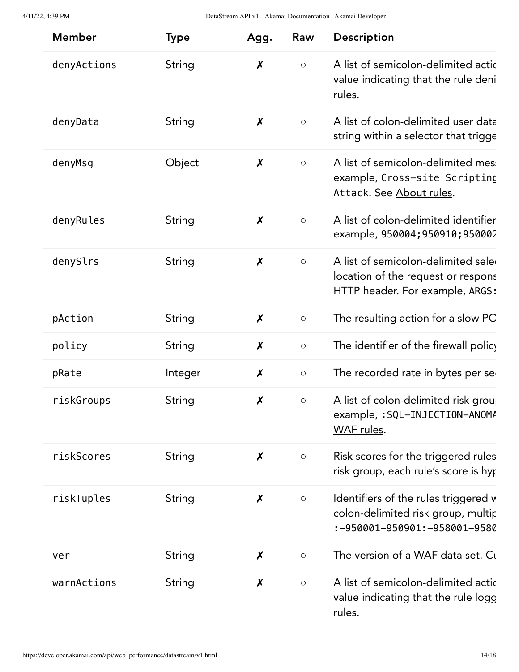| <b>Member</b> | <b>Type</b>   | Agg.                      | Raw                 | Description                                                                                                 |
|---------------|---------------|---------------------------|---------------------|-------------------------------------------------------------------------------------------------------------|
| denyActions   | <b>String</b> | $\boldsymbol{\mathsf{x}}$ | $\bigcirc$          | A list of semicolon-delimited actic<br>value indicating that the rule deni<br>rules.                        |
| denyData      | String        | $\boldsymbol{\mathsf{x}}$ | $\circlearrowright$ | A list of colon-delimited user data<br>string within a selector that trigge                                 |
| denyMsg       | Object        | $\boldsymbol{\mathsf{x}}$ | $\circlearrowright$ | A list of semicolon-delimited mes<br>example, Cross-site Scripting<br>Attack. See About rules.              |
| denyRules     | <b>String</b> | $\boldsymbol{\mathsf{X}}$ | $\circ$             | A list of colon-delimited identifier<br>example, 950004; 950910; 950002                                     |
| denySlrs      | <b>String</b> | $\boldsymbol{\mathsf{X}}$ | $\circ$             | A list of semicolon-delimited sele<br>location of the request or respons<br>HTTP header. For example, ARGS: |
| pAction       | String        | $\boldsymbol{\mathsf{X}}$ | $\circ$             | The resulting action for a slow PC                                                                          |
| policy        | <b>String</b> | $\boldsymbol{\mathsf{x}}$ | $\circ$             | The identifier of the firewall policy                                                                       |
| pRate         | Integer       | $\boldsymbol{\mathsf{X}}$ | $\circ$             | The recorded rate in bytes per se                                                                           |
| riskGroups    | <b>String</b> | X                         | $\bigcirc$          | A list of colon-delimited risk grou<br>example, : SQL-INJECTION-ANOM/<br>WAF rules.                         |
| riskScores    | String        | $\boldsymbol{\mathsf{x}}$ | $\bigcirc$          | Risk scores for the triggered rules<br>risk group, each rule's score is hyp                                 |
| riskTuples    | String        | $\boldsymbol{\mathsf{x}}$ | $\circlearrowright$ | Identifiers of the rules triggered v<br>colon-delimited risk group, multir<br>:-950001-950901:-958001-9580  |
| ver           | String        | X                         | $\bigcirc$          | The version of a WAF data set. Cu                                                                           |
| warnActions   | String        | $\boldsymbol{x}$          | $\bigcirc$          | A list of semicolon-delimited actic<br>value indicating that the rule logg<br>rules.                        |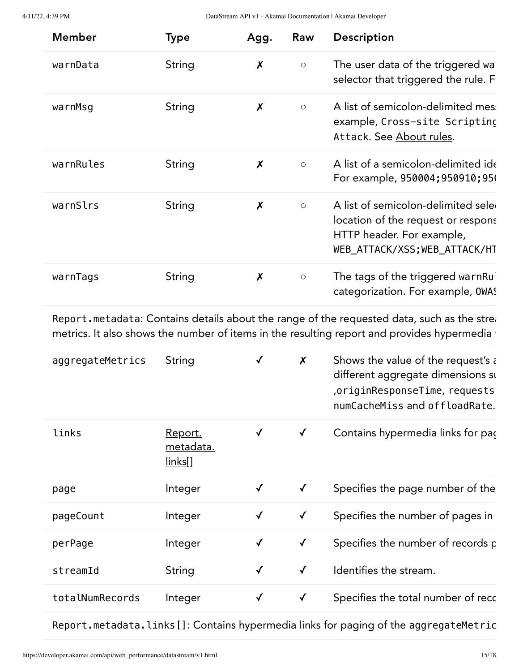| <b>Member</b> | <b>Type</b> | Agg.                      | Raw                 | <b>Description</b>                                                                                                                      |
|---------------|-------------|---------------------------|---------------------|-----------------------------------------------------------------------------------------------------------------------------------------|
| warnData      | String      | $\boldsymbol{\mathsf{x}}$ | $\bigcirc$          | The user data of the triggered wa<br>selector that triggered the rule. F                                                                |
| warnMsg       | String      | $\boldsymbol{\mathsf{x}}$ | $\circ$             | A list of semicolon-delimited mes<br>example, Cross-site Scripting<br>Attack. See About rules.                                          |
| warnRules     | String      | X                         | $\circlearrowright$ | A list of a semicolon-delimited ide<br>For example, 950004; 950910; 950                                                                 |
| warnSlrs      | String      | $\boldsymbol{x}$          | $\circ$             | A list of semicolon-delimited seled<br>location of the request or respons<br>HTTP header. For example,<br>WEB ATTACK/XSS; WEB ATTACK/HT |
| warnTags      | String      | $\boldsymbol{\mathsf{x}}$ | $\circ$             | The tags of the triggered warnRu<br>categorization. For example, OWAS                                                                   |

<span id="page-14-0"></span>Report.metadata: Contains details about the range of the requested data, such as the strea metrics. It also shows the number of items in the resulting report and provides hypermedia f

| aggregateMetrics | String                                        |              | $\boldsymbol{\mathsf{x}}$ | Shows the value of the request's a<br>different aggregate dimensions su<br>originResponseTime, requests,<br>numCacheMiss and offloadRate. |
|------------------|-----------------------------------------------|--------------|---------------------------|-------------------------------------------------------------------------------------------------------------------------------------------|
| links            | <u>Report.</u><br>metadata.<br><u>links[]</u> | $\checkmark$ | $\checkmark$              | Contains hypermedia links for pac                                                                                                         |
| page             | Integer                                       |              | $\checkmark$              | Specifies the page number of the                                                                                                          |
| pageCount        | Integer                                       | $\checkmark$ | $\checkmark$              | Specifies the number of pages in                                                                                                          |
| perPage          | Integer                                       | ✓            | $\checkmark$              | Specifies the number of records p                                                                                                         |
| streamId         | String                                        | $\checkmark$ | $\checkmark$              | Identifies the stream.                                                                                                                    |
| totalNumRecords  | Integer                                       |              | $\checkmark$              | Specifies the total number of recc                                                                                                        |

<span id="page-14-1"></span>Report.metadata.links[]: Contains hypermedia links for paging of the aggregateMetric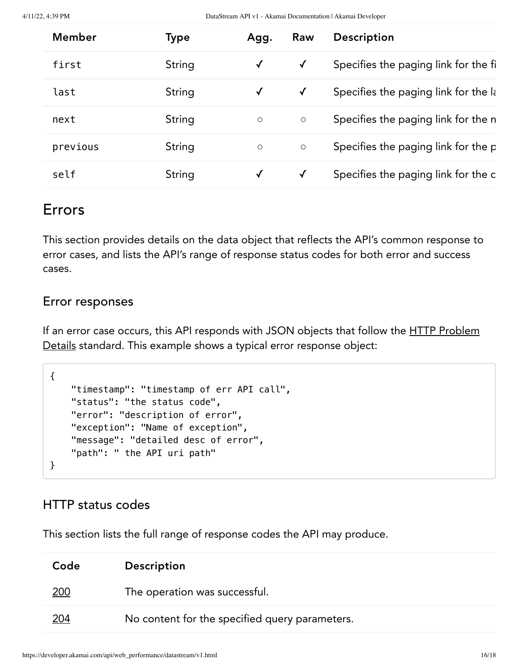| Member   | Type   | Agg.         | Raw          | <b>Description</b>                   |
|----------|--------|--------------|--------------|--------------------------------------|
| first    | String | $\checkmark$ | $\checkmark$ | Specifies the paging link for the fi |
| last     | String | $\checkmark$ | $\checkmark$ | Specifies the paging link for the la |
| next     | String | $\circ$      | $\circ$      | Specifies the paging link for the n  |
| previous | String | $\circ$      | $\circ$      | Specifies the paging link for the p  |
| self     | String | $\checkmark$ | $\checkmark$ | Specifies the paging link for the c  |

# Errors

This section provides details on the data object that reflects the API's common response to error cases, and lists the API's range of response status codes for both error and success cases.

## Error responses

If an error case occurs, this API responds with JSON objects that follow the **HTTP Problem** Details [standard.](https://tools.ietf.org/html/rfc7807) This example shows a typical error response object:

```
{
     "timestamp": "timestamp of err API call",
     "status": "the status code",
     "error": "description of error",
     "exception": "Name of exception",
     "message": "detailed desc of error",
     "path": " the API uri path"
}
```
## HTTP status codes

This section lists the full range of response codes the API may produce.

| Code        | <b>Description</b>                             |
|-------------|------------------------------------------------|
| <u> 200</u> | The operation was successful.                  |
| <u> 204</u> | No content for the specified query parameters. |